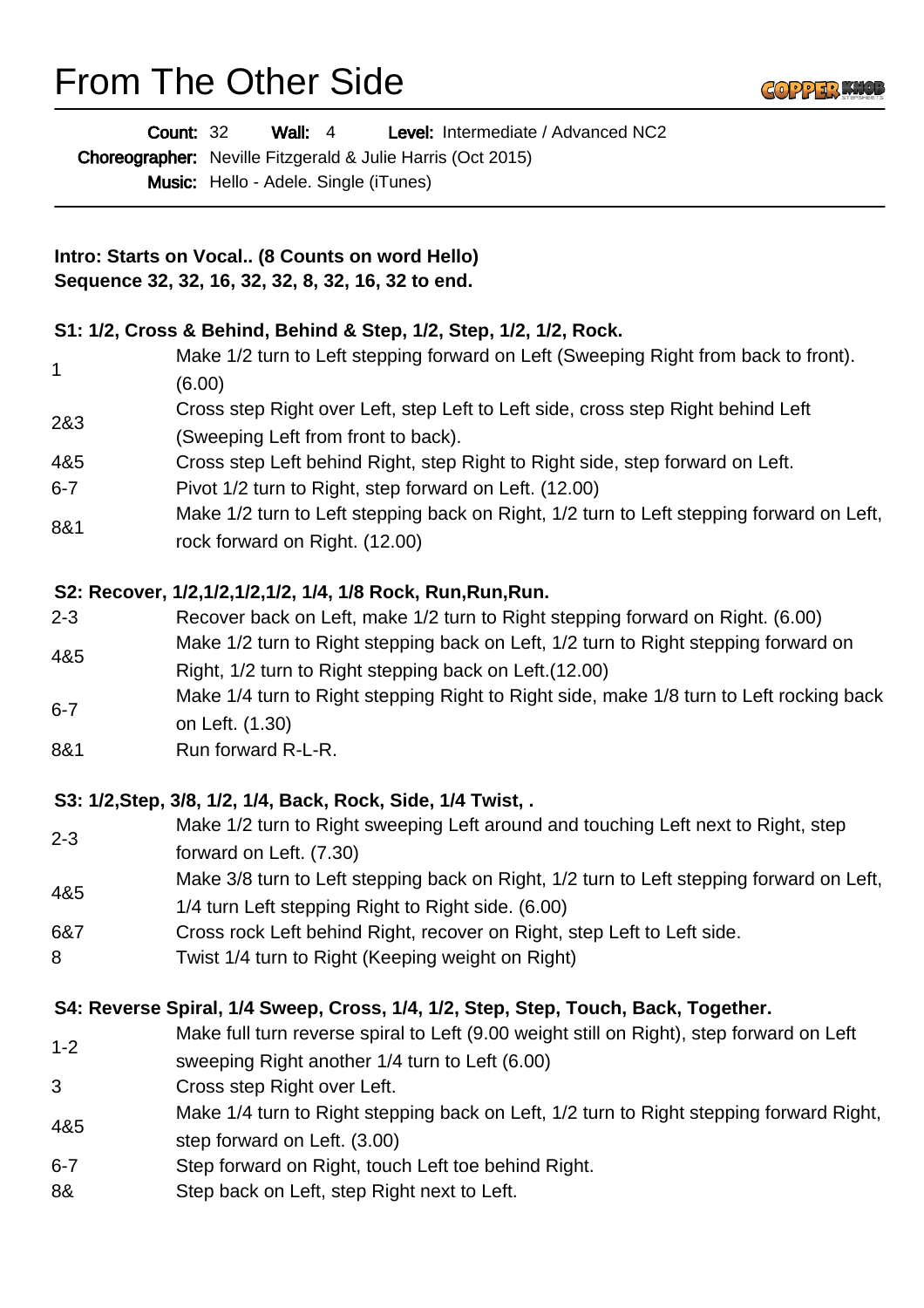# From The Other Side

|                                                                                                       | Level: Intermediate / Advanced NC2<br><b>Count: 32</b><br>Wall: $4$                                                                            |
|-------------------------------------------------------------------------------------------------------|------------------------------------------------------------------------------------------------------------------------------------------------|
|                                                                                                       | Choreographer: Neville Fitzgerald & Julie Harris (Oct 2015)                                                                                    |
|                                                                                                       | Music: Hello - Adele. Single (iTunes)                                                                                                          |
| Intro: Starts on Vocal (8 Counts on word Hello)<br>Sequence 32, 32, 16, 32, 32, 8, 32, 16, 32 to end. |                                                                                                                                                |
|                                                                                                       |                                                                                                                                                |
| 1                                                                                                     | Make 1/2 turn to Left stepping forward on Left (Sweeping Right from back to front).<br>(6.00)                                                  |
| 2&3                                                                                                   | Cross step Right over Left, step Left to Left side, cross step Right behind Left<br>(Sweeping Left from front to back).                        |
| 4&5                                                                                                   | Cross step Left behind Right, step Right to Right side, step forward on Left.                                                                  |
| 6-7                                                                                                   | Pivot 1/2 turn to Right, step forward on Left. (12.00)                                                                                         |
| 8&1                                                                                                   | Make 1/2 turn to Left stepping back on Right, 1/2 turn to Left stepping forward on Left,<br>rock forward on Right. (12.00)                     |
|                                                                                                       | S2: Recover, 1/2,1/2,1/2,1/2, 1/4, 1/8 Rock, Run, Run, Run.                                                                                    |
| 2-3                                                                                                   | Recover back on Left, make 1/2 turn to Right stepping forward on Right. (6.00)                                                                 |
| 4&5                                                                                                   | Make 1/2 turn to Right stepping back on Left, 1/2 turn to Right stepping forward on<br>Right, 1/2 turn to Right stepping back on Left. (12.00) |
| $6 - 7$                                                                                               | Make 1/4 turn to Right stepping Right to Right side, make 1/8 turn to Left rocking back<br>on Left. (1.30)                                     |
| 8&1                                                                                                   | Run forward R-L-R.                                                                                                                             |
|                                                                                                       | S3: 1/2, Step, 3/8, 1/2, 1/4, Back, Rock, Side, 1/4 Twist, .                                                                                   |
| $2 - 3$                                                                                               | Make 1/2 turn to Right sweeping Left around and touching Left next to Right, step<br>forward on Left. (7.30)                                   |
| 4&5                                                                                                   | Make 3/8 turn to Left stepping back on Right, 1/2 turn to Left stepping forward on Left,<br>1/4 turn Left stepping Right to Right side. (6.00) |
| 6&7                                                                                                   | Cross rock Left behind Right, recover on Right, step Left to Left side.                                                                        |
| 8                                                                                                     | Twist 1/4 turn to Right (Keeping weight on Right)                                                                                              |
|                                                                                                       | S4: Reverse Spiral, 1/4 Sweep, Cross, 1/4, 1/2, Step, Step, Touch, Back, Together.                                                             |
| $1 - 2$                                                                                               | Make full turn reverse spiral to Left (9.00 weight still on Right), step forward on Left<br>sweeping Right another 1/4 turn to Left (6.00)     |
| 3                                                                                                     | Cross step Right over Left.                                                                                                                    |
| 4&5                                                                                                   | Make 1/4 turn to Right stepping back on Left, 1/2 turn to Right stepping forward Right,<br>step forward on Left. (3.00)                        |
| $6 - 7$                                                                                               | Step forward on Right, touch Left toe behind Right.                                                                                            |
| 8&                                                                                                    | Step back on Left, step Right next to Left.                                                                                                    |
|                                                                                                       |                                                                                                                                                |